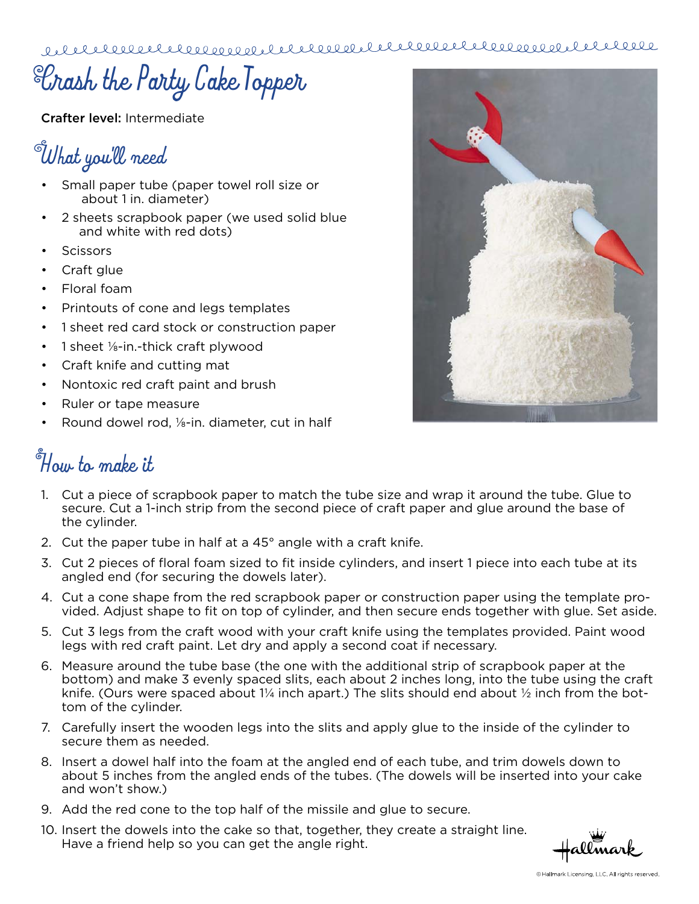**Crash the Party Cake Topper**

Crafter level: Intermediate

## **What you'll need**

- Small paper tube (paper towel roll size or about 1 in. diameter)
- 2 sheets scrapbook paper (we used solid blue and white with red dots)
- **Scissors**
- Craft glue
- Floral foam
- Printouts of cone and legs templates
- 1 sheet red card stock or construction paper
- 1 sheet  $\frac{1}{2}$ -in.-thick craft plywood
- Craft knife and cutting mat
- Nontoxic red craft paint and brush
- Ruler or tape measure
- Round dowel rod, 1/8-in. diameter, cut in half

## **How to make it**

- 1. Cut a piece of scrapbook paper to match the tube size and wrap it around the tube. Glue to secure. Cut a 1-inch strip from the second piece of craft paper and glue around the base of the cylinder.
- 2. Cut the paper tube in half at a 45° angle with a craft knife.
- 3. Cut 2 pieces of floral foam sized to fit inside cylinders, and insert 1 piece into each tube at its angled end (for securing the dowels later).
- 4. Cut a cone shape from the red scrapbook paper or construction paper using the template provided. Adjust shape to fit on top of cylinder, and then secure ends together with glue. Set aside.
- 5. Cut 3 legs from the craft wood with your craft knife using the templates provided. Paint wood legs with red craft paint. Let dry and apply a second coat if necessary.
- 6. Measure around the tube base (the one with the additional strip of scrapbook paper at the bottom) and make 3 evenly spaced slits, each about 2 inches long, into the tube using the craft knife. (Ours were spaced about  $1/4$  inch apart.) The slits should end about  $\frac{1}{2}$  inch from the bottom of the cylinder.
- 7. Carefully insert the wooden legs into the slits and apply glue to the inside of the cylinder to secure them as needed.
- 8. Insert a dowel half into the foam at the angled end of each tube, and trim dowels down to about 5 inches from the angled ends of the tubes. (The dowels will be inserted into your cake and won't show.)
- 9. Add the red cone to the top half of the missile and glue to secure.
- 10. Insert the dowels into the cake so that, together, they create a straight line. Have a friend help so you can get the angle right.

allmark



<sup>©</sup> Hallmark Licensing, LLC. All rights reserved.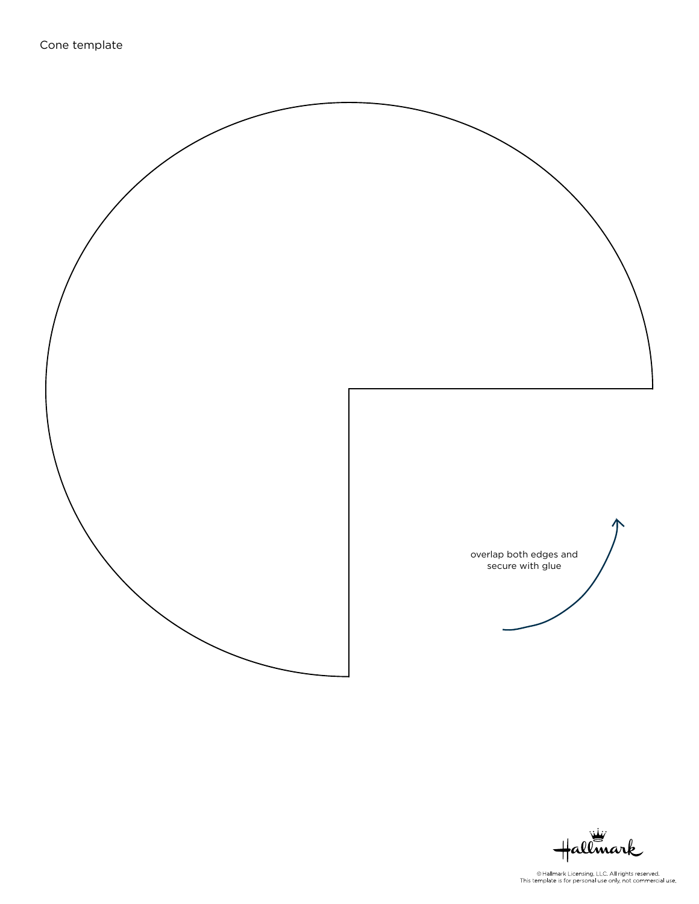